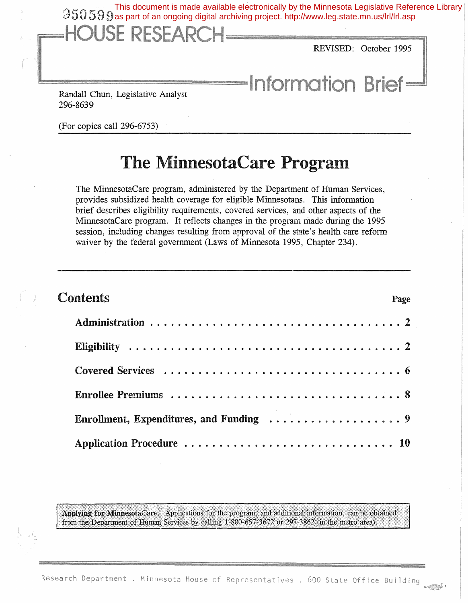This document is made available electronically by the Minnesota Legislative Reference Library<br>  $0.59$   $9$  as part of an ongoing digital archiving project. http://www.leg.state.mn.us/lrl/lrl.asp as part of an ongoing digital archiving project. http://www.leg.state.mn.us/lrl/lrl.aspREVISED: October 1995 **Information Brief=** Randall Chun, Legislative Analyst 296-8639

(For copies call 296-6753)

## The MinnesotaCare Program

The MinnesotaCare program, administered by the Department of Human Services, provides subsidized health coverage for eligible Minnesotans. This infonnation brief describes eligibility requirements, covered services, and other aspects of the MinnesotaCare program. It reflects changes in the program made during the 1995 session, including changes resulting from approval of the state's health care reform waiver by the federal government (Laws of Minnesota 1995, Chapter 234).

| <b>Contents</b><br>Page |
|-------------------------|
|                         |
|                         |
|                         |
|                         |
|                         |
|                         |

Applying for MinnesotaCare. Applications for the program, and additional information, can be obtained from the Department of Human Services by calling 1-800-657-3672 or 297-3862 (in the metro area).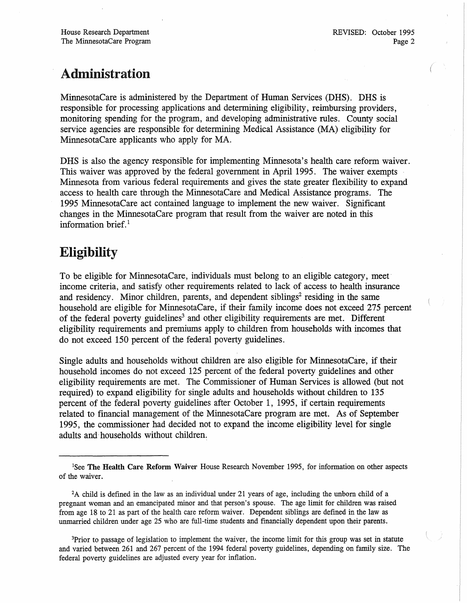### Administration

MinnesotaCare is administered by the Department of Human Services (DRS). DRS is responsible for processing applications and determining eligibility, reimbursing providers, monitoring spending for the program, and developing administrative rules. County social service agencies are responsible for determining Medical Assistance (MA) eligibility for MinnesotaCare applicants who apply for MA.

DHS is also the agency responsible for implementing Minnesota's health care reform waiver. This waiver was approved by the federal government in April 1995. The waiver exempts Minnesota from various federal requirements and gives the state greater flexibility to expand access to health care through the MinnesotaCare and Medical Assistance programs. The 1995 MinnesotaCare act contained language to implement the new waiver. Significant changes in the MinnesotaCare program that result from the waiver are noted in this information brief. $<sup>1</sup>$ </sup>

### Eligibility

To be eligible for MinnesotaCare, individuals must belong to an eligible category, meet· income criteria, and satisfy other requirements related to lack of access to health insurance and residency. Minor children, parents, and dependent siblings<sup>2</sup> residing in the same household are eligible for MinnesotaCare, if their family income does not exceed 275 percent of the federal poverty guidelines<sup>3</sup> and other eligibility requirements are met. Different eligibility requirements and premiums apply to children from households with incomes that do not exceed 150 percent of the federal poverty guidelines.

Single adults and households without children are also eligible for MinnesotaCare, if their household incomes do not exceed 125 percent of the federal poverty guidelines and other eligibility requirements are met. The Commissioner of Ruman Services is allowed (but not required) to expand eligibility for single adults and households without children to 135 percent of the federal poverty guidelines after October 1, 1995, if certain requirements related to financial management of the MinnesotaCare program are met. As of September 1995, the commissioner had decided not to expand the income eligibility level for single adults and households without children.

<sup>&</sup>lt;sup>1</sup>See The Health Care Reform Waiver House Research November 1995, for information on other aspects of the waiver.

<sup>2</sup>A child is defined in the law as an individual under 21 years of age, including the unborn child of a pregnant woman and an emancipated minor and that person's spouse. The age limit for children was raised from age 18 to 21 as part of the health care reform waiver. Dependent siblings are defined in the law as unmarried children under age 25 who are full-time students and financially dependent upon their parents.

<sup>&</sup>lt;sup>3</sup>Prior to passage of legislation to implement the waiver, the income limit for this group was set in statute and varied between 261 and 267 percent of the 1994 federal poverty guidelines, depending on family size. The federal poverty guidelines are adjusted every year for inflation.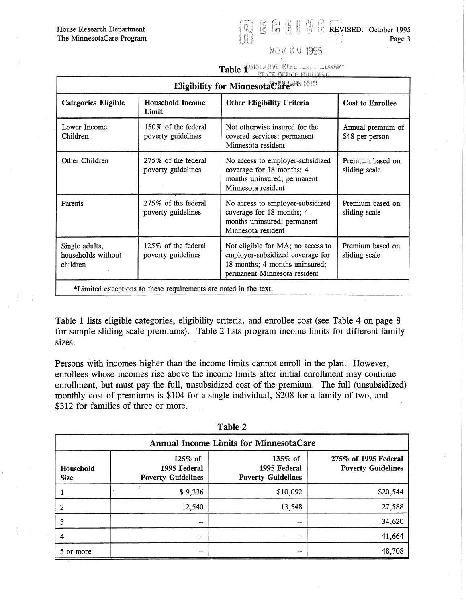House Research Department The MinnesotaCare Program

REVISED: October 1995 Page 3

### NOV 201995

# Table & GISLATIVE HELLOCAL CONARY

| Eligibility for Minnesota Care**** 55155                         |                                           |                                                                                                                                         |                                      |  |  |
|------------------------------------------------------------------|-------------------------------------------|-----------------------------------------------------------------------------------------------------------------------------------------|--------------------------------------|--|--|
| <b>Categories Eligible</b>                                       | <b>Household Income</b><br>Limit          | <b>Other Eligibility Criteria</b>                                                                                                       | <b>Cost to Enrollee</b>              |  |  |
| Lower Income<br>Children                                         | 150% of the federal<br>poverty guidelines | Not otherwise insured for the<br>covered services; permanent<br>Minnesota resident                                                      | Annual premium of<br>\$48 per person |  |  |
| Other Children                                                   | 275% of the federal<br>poverty guidelines | No access to employer-subsidized<br>coverage for 18 months; 4<br>months uninsured; permanent<br>Minnesota resident                      | Premium based on<br>sliding scale    |  |  |
| Parents                                                          | 275% of the federal<br>poverty guidelines | No access to employer-subsidized<br>coverage for 18 months; 4<br>months uninsured; permanent<br>Minnesota resident                      | Premium based on<br>sliding scale    |  |  |
| Single adults,<br>households without<br>children                 | 125% of the federal<br>poverty guidelines | Not eligible for MA; no access to<br>employer-subsidized coverage for<br>18 months; 4 months uninsured;<br>permanent Minnesota resident | Premium based on<br>sliding scale    |  |  |
| *Limited exceptions to these requirements are noted in the text. |                                           |                                                                                                                                         |                                      |  |  |

Table 1 lists eligible categories, eligibility criteria, and enrollee cost (see Table 4 on page 8 for sample sliding scale premiums). Table 2 lists program income limits for different family sizes.

Persons with incomes higher than the income limits cannot enroll in the plan. However, enrollees whose incomes rise above the income limits after initial enrollment may continue enrollment, but must pay the full, unsubsidized cost of the premium. The full (unsubsidized) monthly cost of premiums is \$104 for a single individual, \$208 for a family of two, and \$312 for families of three or more.

| <b>Annual Income Limits for MinnesotaCare</b> |                                                      |                                                      |                                                   |  |  |  |
|-----------------------------------------------|------------------------------------------------------|------------------------------------------------------|---------------------------------------------------|--|--|--|
| Household<br><b>Size</b>                      | 125% of<br>1995 Federal<br><b>Poverty Guidelines</b> | 135% of<br>1995 Federal<br><b>Poverty Guidelines</b> | 275% of 1995 Federal<br><b>Poverty Guidelines</b> |  |  |  |
|                                               | \$9,336                                              | \$10,092                                             | \$20,544                                          |  |  |  |
| 2                                             | 12,540                                               | 13,548                                               | 27,588                                            |  |  |  |
| 3                                             | --                                                   | --                                                   | 34,620                                            |  |  |  |
| 4                                             | --                                                   | --                                                   | 41,664                                            |  |  |  |
| 5 or more                                     | --                                                   | --                                                   | 48,708                                            |  |  |  |

Table 2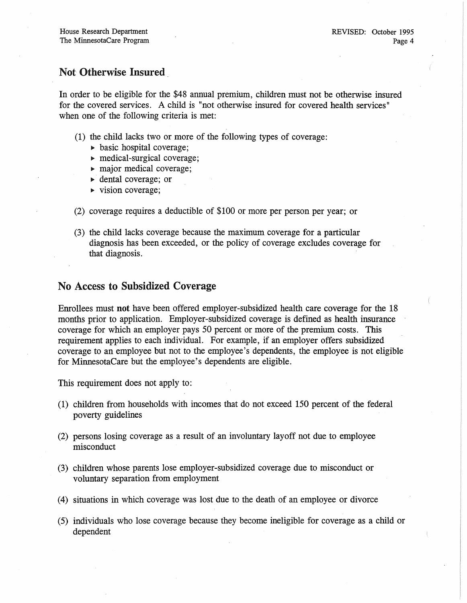### Not Otherwise Insured.

In order to be eligible for the \$48 annual premium, children must not be otherwise insured for the covered services. A child is "not otherwise insured for covered health services" when one of the following criteria is met:

- (1) the child lacks two or more of the following types of coverage:
	- $\triangleright$  basic hospital coverage;
	- medical-surgical coverage;
	- $\blacktriangleright$  major medical coverage;
	- dental coverage; or
	- $\triangleright$  vision coverage;
- (2) coverage requires a deductible of \$100 or more per person per year; or
- (3) the child lacks coverage because the maximum coverage for a particular diagnosis has been exceeded, or the policy of coverage excludes coverage for that diagnosis.

#### No Access to Subsidized Coverage

Enrollees must not have been offered employer-subsidized health care coverage for the 18 months prior to application. Employer-subsidized coverage is defined as health insurance coverage for which an employer pays 50 percent or more of the premium costs. This requirement applies to each individual. For example, if an employer offers subsidized coverage to an employee but not to the employee's dependents, the employee is not eligible for MinnesotaCare but the employee's dependents are eligible.

This requirement does not apply to:

- (1) children from households with incomes that do not exceed 150 percent of the federal poverty guidelines
- (2) persons losing coverage as a result of an involuntary layoff not due to employee misconduct
- (3) children whose parents lose employer-subsidized coverage due to misconduct or voluntary separation from employment
- (4) situations in which coverage was lost due to the death of an employee or divorce
- (5) individuals who lose coverage because they become ineligible for coverage as a child or dependent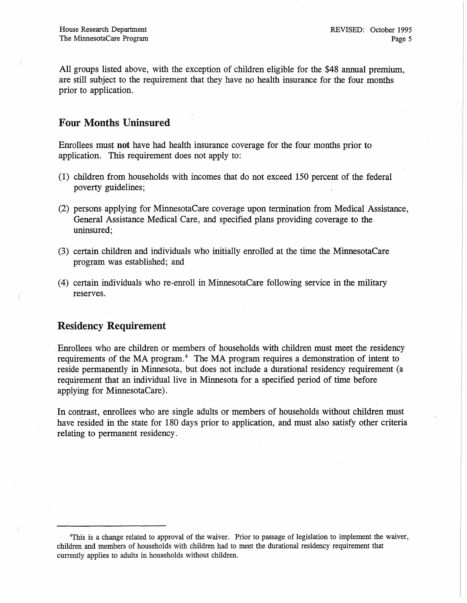All groups listed above, with the exception of children eligible for the \$48 annual premium, are still subject to the requirement that they have no health insurance for the four months. prior to application.

#### Four Months Uninsured

Enrollees must not have had health insurance coverage for the four months prior to application. This requirement does not apply to:

- (1) children from households with incomes that do not exceed 150 percent of the federal poverty guidelines;
- (2) persons applying for MinnesotaCare coverage upon termination from Medical Assistance, General Assistance Medical Care, and specified plans providing coverage to the uninsured;
- (3) certain children and individuals who initially enrolled at the time the MinnesotaCare program was established; and
- (4) certain individuals who re-enroll in MinnesotaCare following service in the military reserves.

#### Residency Requirement

.Enrollees who are children or members of households with children must meet the residency requirements of the MA program.<sup>4</sup> The MA program requires a demonstration of intent to reside permanently in Minnesota, but does not include a durational residency requirement (a requirement that an individual live in Minnesota for a specified period of time before applying for MinnesotaCare).

In contrast, enrollees who are single adults or members of households without children must have resided in the state for 180 days prior to application, and must also satisfy other criteria relating to permanent residency.

<sup>4</sup>This is a change related to approval of the waiver. Prior to passage of legislation to implement the waiver, children and members· of households with children had to meet the durational residency requirement that currently applies to adults in households without children.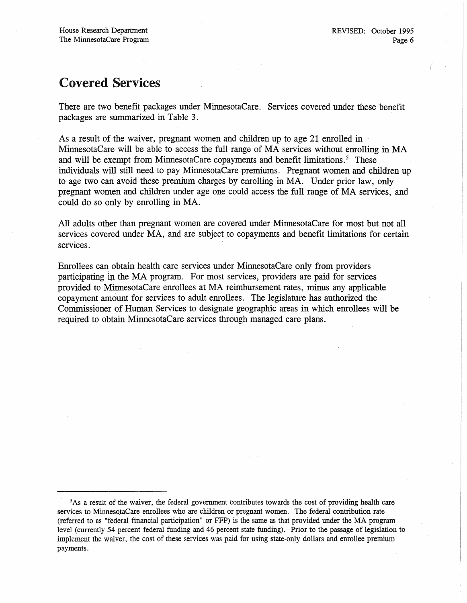### Covered Services

There are two benefit packages under MinnesotaCare. Services covered under these benefit packages are summarized in Table 3.

As a result of the waiver, pregnant women and children up to age 21 enrolled in MinnesotaCare will be able to access the full range of MA services without enrolling in MA and will be exempt from MinnesotaCare copayments and benefit limitations.<sup>5</sup> These individuals will still need to pay MinnesotaCare premiums. Pregnant women and children up to age two can avoid these premium charges by enrolling in MA. Under prior law, only pregnant women and children under age one could access the full range of MA services, and could do so only by enrolling in MA.

All adults other than pregnant women are covered under MinnesotaCare for most but not all services covered under MA, and are subject to copayments and benefit limitations for certain services.

Enrollees can, obtain health care services under MinnesotaCare only from providers participating in the MA program. For most services, providers are paid for services provided to MinnesotaCare enrollees at MA reimbursement rates, minus any applicable copayment amount for services to adult enrollees. The legislature has authorized the Commissioner of Human Services to designate geographic areas in which enrollees will be required to obtain MinnesotaCare services through managed care plans.

<sup>5</sup>As a result of the waiver, the federal government contributes towards the cost of providing health care services to MinnesotaCare enrollees who are children or pregnant women. The federal contribution rate (referred to as "federal financial participation" or FFP) is the same as that provided under the MA program level (currently 54 percent federal funding and 46 percent state funding). Prior to the passage of legislation to implement the waiver, the cost of these services was paid for using state-only dollars and enrollee premium payments.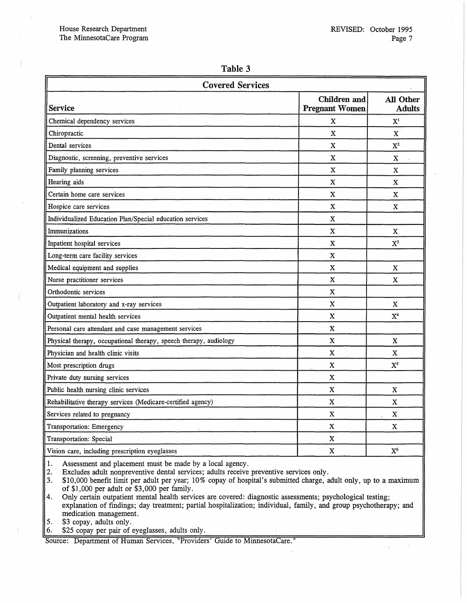#### Table 3

| <b>Covered Services</b>                                           |                                              |                            |  |  |
|-------------------------------------------------------------------|----------------------------------------------|----------------------------|--|--|
| <b>Service</b>                                                    | <b>Children</b> and<br><b>Pregnant Women</b> | All Other<br><b>Adults</b> |  |  |
| Chemical dependency services                                      | X                                            | ${\bf X}^1$                |  |  |
| Chiropractic                                                      | $\mathbf X$                                  | $\mathbf x$                |  |  |
| Dental services                                                   | $\mathbf X$                                  | $X^2$                      |  |  |
| Diagnostic, screening, preventive services                        | $\mathbf X$                                  | X                          |  |  |
| Family planning services                                          | X                                            | X                          |  |  |
| Hearing aids                                                      | $\mathbf x$                                  | X                          |  |  |
| Certain home care services                                        | X                                            | X                          |  |  |
| Hospice care services                                             | X                                            | $\mathbf X$                |  |  |
| Individualized Education Plan/Special education services          | $\mathbf X$                                  |                            |  |  |
| Immunizations                                                     | X                                            | X                          |  |  |
| Inpatient hospital services                                       | X                                            | $X^3$                      |  |  |
| Long-term care facility services                                  | X                                            |                            |  |  |
| Medical equipment and supplies                                    | X                                            | X                          |  |  |
| Nurse practitioner services                                       | $\mathbf X$                                  | X                          |  |  |
| Orthodontic services                                              | $\mathbf X$                                  |                            |  |  |
| Outpatient laboratory and x-ray services                          | X                                            | X                          |  |  |
| Outpatient mental health services                                 | X                                            | X <sup>4</sup>             |  |  |
| Personal care attendant and case management services              | $\mathbf X$                                  |                            |  |  |
| Physical therapy, occupational therapy, speech therapy, audiology | X                                            | X                          |  |  |
| Physician and health clinic visits                                | $\mathbf X$                                  | $\mathbf X$                |  |  |
| Most prescription drugs                                           | X                                            | $X^5$                      |  |  |
| Private duty nursing services                                     | $\mathbf X$                                  |                            |  |  |
| Public health nursing clinic services                             | X                                            | $\mathbf X$                |  |  |
| Rehabilitative therapy services (Medicare-certified agency)       | X                                            | X                          |  |  |
| Services related to pregnancy                                     | $\mathbf X$                                  | $\mathbf X$                |  |  |
| Transportation: Emergency                                         | X                                            | $\mathbf X$                |  |  |
| Transportation: Special                                           | X                                            |                            |  |  |
| Vision care, including prescription eyeglasses                    | X                                            | X <sup>6</sup>             |  |  |

1. Assessment and placement must be made by a local agency.<br>2. Excludes adult nonpreventive dental services; adults receive

2. Excludes adult nonpreventive dental services; adults receive preventive services only.<br>3. \$10,000 benefit limit per adult per year; 10% copay of hospital's submitted charge, a

\$10,000 benefit limit per adult per year; 10% copay of hospital's submitted charge, adult only, up to a maximum of \$J ,000 per adult or \$3,000 per family.

4. Only certain outpatient mental health services are covered: diagnostic assessments; psychological testing; explanation of findings; day treatment; partial hospitalization; individual, family, and group psychotherapy; and medication management.

5. \$3 copay, adults only.

6. \$25 copay per pair of eyeglasses, adults only.

Source: Department of Human Services, "Providers' Guide to MinnesotaCare."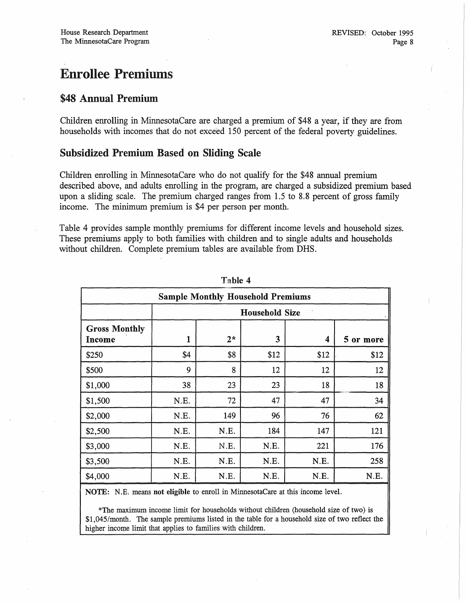## Enrollee Premiums

#### \$48 Annual Premium

Children enrolling in MinnesotaCare are charged a premium of \$48 a year, if they are from households with incomes that do not exceed 150 percent of the federal poverty guidelines.

#### Subsidized Premium Based on Sliding Scale

Children enrolling in MinnesotaCare who do not qualify for the \$48 annual premium described above, and adults enrolling in the program, are charged a subsidized premium based upon a sliding scale. The premium charged ranges from 1.5 to 8.8 percent of gross family income. The minimum premium is \$4 per person per month.

Table 4 provides sample monthly premiums for different income levels and household sizes. These premiums apply to both families with children and to single adults and households without children. Complete premium tables are available from DHS.

| <b>Sample Monthly Household Premiums</b> |                       |      |      |      |           |
|------------------------------------------|-----------------------|------|------|------|-----------|
|                                          | <b>Household Size</b> |      |      |      |           |
| <b>Gross Monthly</b><br>Income           | 1                     | $2*$ | 3    | 4    | 5 or more |
| \$250                                    | \$4                   | \$8  | \$12 | \$12 | \$12      |
| \$500                                    | 9                     | 8    | 12   | 12   | 12        |
| \$1,000                                  | 38                    | 23   | 23   | 18   | 18        |
| \$1,500                                  | N.E.                  | 72   | 47   | 47   | 34        |
| \$2,000                                  | N.E.                  | 149  | 96   | 76   | 62        |
| \$2,500                                  | N.E.                  | N.E. | 184  | 147  | 121       |
| \$3,000                                  | N.E.                  | N.E. | N.E. | 221  | 176       |
| \$3,500                                  | N.E.                  | N.E. | N.E. | N.E. | 258       |
| \$4,000                                  | N.E.                  | N.E. | N.E. | N.E. | N.E.      |

Table 4

NOTE: N.E. means not eligible to enroll in MinnesotaCare at this income level.

\*The maximum income limit for households without children (household size of two) is \$1,045/month. The sample premiums listed in the table for a household size of two reflect the higher income limit that applies to families with children.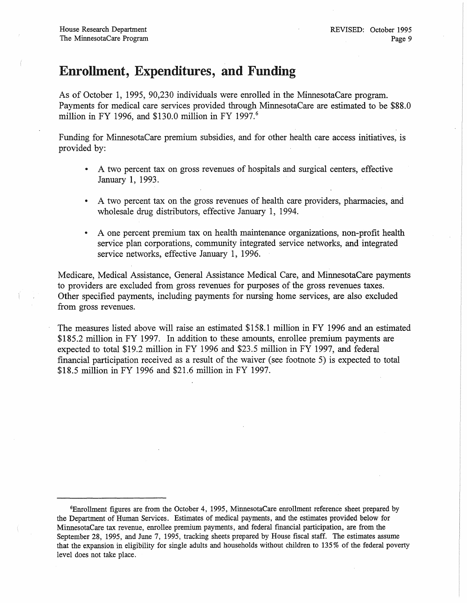### Enrollment, Expenditures, and Funding

As of October 1, 1995, 90,230 individuals were enrolled in the MinnesotaCare program. Payments for medical care services provided through MinnesotaCare are estimated to be \$88.0 million in FY 1996, and \$130.0 million in FY 1997.<sup>6</sup>

Funding for MinnesotaCare premium subsidies, and for other health care access initiatives, is provided by:

- A two percent tax on gross revenues of hospitals and surgical centers, effective January 1, 1993.
- A two percent tax on the gross revenues of health care providers, pharmacies, and wholesale drug distributors, effective January 1, 1994.
- A one percent premium tax on health maintenance organizations, non-profit health service plan corporations, community integrated service networks, and integrated service networks, effective January 1, 1996.

Medicare, Medical Assistance, General Assistance Medical Care, and MinnesotaCare payments to providers are excluded from gross revenues for purposes of the gross revenues taxes. Other specified payments, including payments for nursing home services, are also excluded from gross revenues.

The measures listed above will raise an estimated \$158.1 million in FY 1996 and an estimated \$185.2 million in FY 1997. In addition to these amounts, enrollee premium payments are expected to total \$19.2 million in FY 1996 and \$23.5 million in FY 1997, and federal financial participation received as a result of the waiver (see footnote 5) is expected to total \$18.5 million in FY 1996 and \$21.6 million in FY 1997.

<sup>6</sup>Enrollment figures are from the October 4, 1995, MinnesotaCare enrollment reference sheet prepared by the Department of Human Services. Estimates of medical payments, and the estimates provided below for MinnesotaCare tax revenue, enrollee premium payments, and federal financial participation, are from the September 28, 1995, and June 7, 1995, tracking sheets prepared by House fiscal staff. The estimates assume that the expansion in eligibility for single adults and households without children to 135 % of the federal poverty level does not take place.